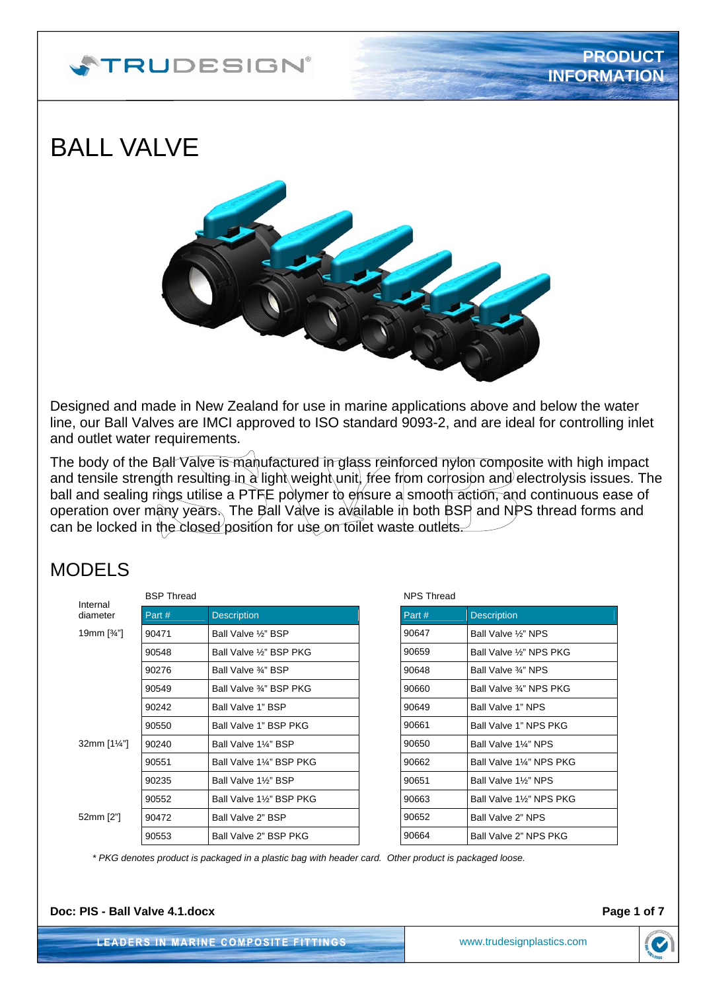# **STRUDESIGN**®

# BALL VALVE



Designed and made in New Zealand for use in marine applications above and below the water line, our Ball Valves are IMCI approved to ISO standard 9093-2, and are ideal for controlling inlet and outlet water requirements.

The body of the Ball Valve is manufactured in glass reinforced nylon composite with high impact and tensile strength resulting in a light weight unit, free from corrosion and electrolysis issues. The ball and sealing rings utilise a PTFE polymer to ensure a smooth action, and continuous ease of operation over many years. The Ball Valve is available in both BSP and NPS thread forms and can be locked in the closed position for use on toilet waste outlets.

### MODELS

| Internal              | <b>BSP Thread</b> |                         |  |
|-----------------------|-------------------|-------------------------|--|
| diameter              | Part#             | <b>Description</b>      |  |
| 19mm $[34"]$          | 90471             | Ball Valve 1/2" BSP     |  |
|                       | 90548             | Ball Valve 1/3" BSP PKG |  |
|                       | 90276             | Ball Valve 3/4" BSP     |  |
|                       | 90549             | Ball Valve 3⁄4" BSP PKG |  |
|                       | 90242             | Ball Valve 1" BSP       |  |
|                       | 90550             | Ball Valve 1" BSP PKG   |  |
| 32mm $[1\frac{1}{4}]$ | 90240             | Ball Valve 11/4" BSP    |  |
|                       | 90551             | Ball Valve 1¼" BSP PKG  |  |
|                       | 90235             | Ball Valve 1%" BSP      |  |
|                       | 90552             | Ball Valve 1%" BSP PKG  |  |
| 52mm [2"]             | 90472             | Ball Valve 2" BSP       |  |
|                       | 90553             | Ball Valve 2" BSP PKG   |  |

NPS Thread Part # Description 90647 **Ball Valve ½" NPS** 90659 Ball Valve 1/2" NPS PKG 90648 **Ball Valve**  $\frac{3}{4}$ " NPS 90660 Ball Valve ¾" NPS PKG  $90649$  Ball Valve 1" NPS 90661 Ball Valve 1" NPS PKG  $90650$  Ball Valve 1¼" NPS 90662 | Ball Valve 1¼" NPS PKG 90651 Ball Valve 1½" NPS 90663 Ball Valve 1½" NPS PKG 90652 Ball Valve 2" NPS 90664 Ball Valve 2" NPS PKG

*\* PKG denotes product is packaged in a plastic bag with header card. Other product is packaged loose.* 

**Doc: PIS - Ball Valve 4.1.docx Page 1 of 7 Page 1 of 7** 

**LEADERS IN MARINE COMPOSITE FITTINGS** 

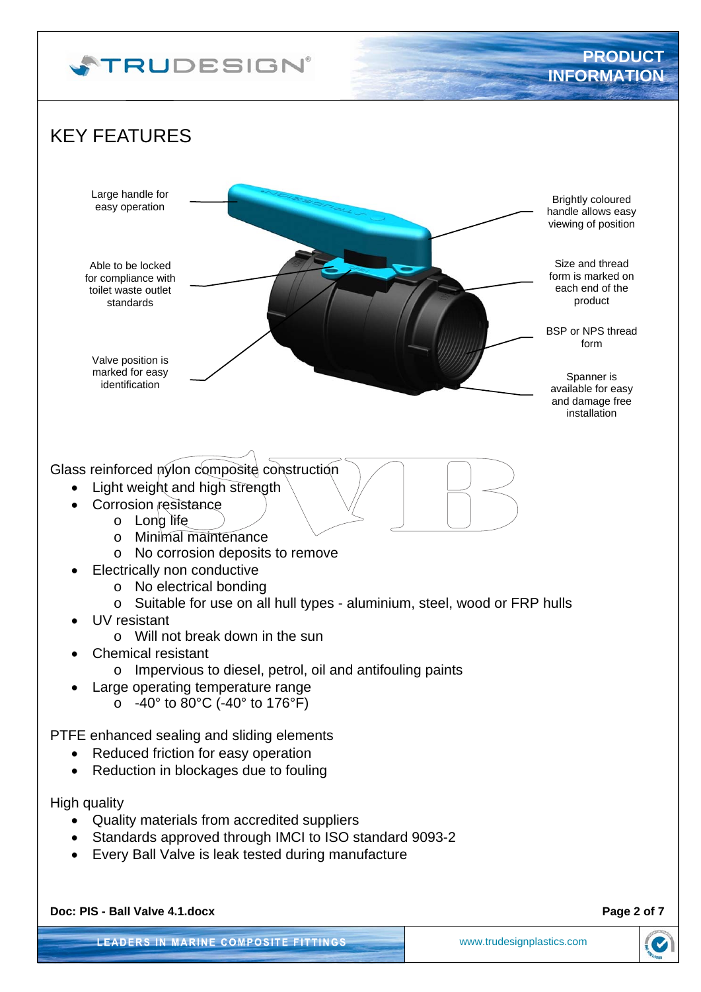

**LEADERS IN MARINE COMPOSITE FITTINGS** 

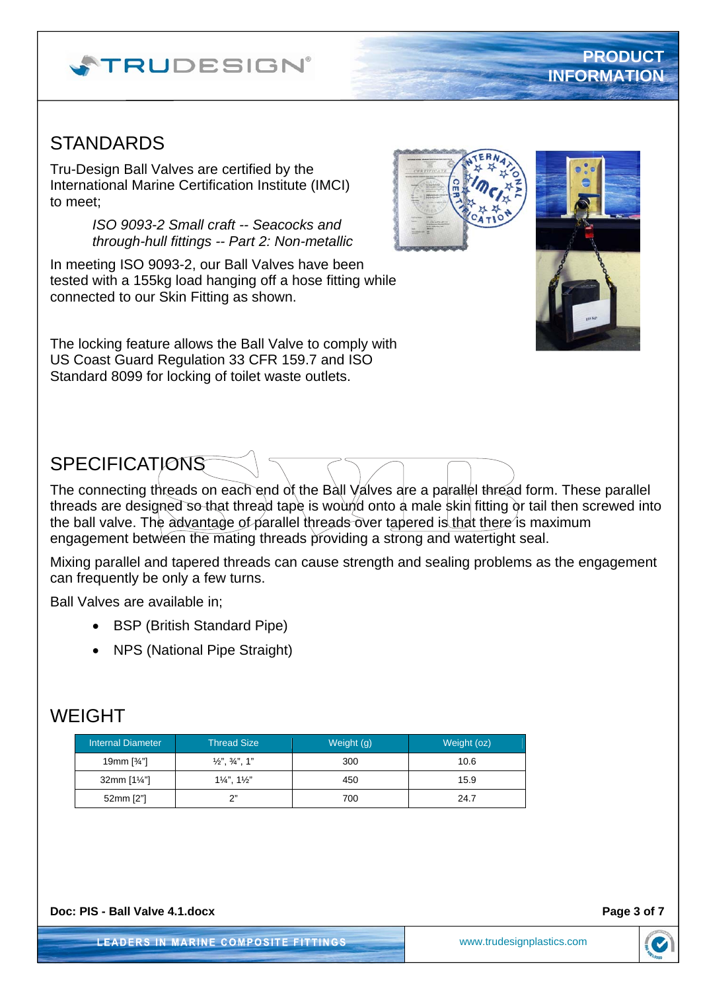





# WEIGHT

| <b>Internal Diameter</b> | <b>Thread Size</b>                 | Weight (g) | Weight (oz) |
|--------------------------|------------------------------------|------------|-------------|
| 19mm $[34$ "             | $\frac{1}{2}$ , $\frac{3}{4}$ , 1" | 300        | 10.6        |
| 32mm $[1\frac{1}{4}]$    | $1\frac{1}{4}$ , $1\frac{1}{2}$    | 450        | 15.9        |
| 52mm [2"]                | ን"                                 | 700        | 24.7        |

# Standard 8099 for locking of toilet waste outlets.

**STANDARDS** 

# **SPECIFICATIONS**

The connecting threads on each end of the Ball Valves are a parallel thread form. These parallel threads are designed so that thread tape is wound onto a male skin fitting or tail then screwed into the ball valve. The advantage of parallel threads over tapered is that there is maximum

Mixing parallel and tapered threads can cause strength and sealing problems as the engagement

Ball Valves are available in;

- BSP (British Standard Pipe)
- NPS (National Pipe Straight)

engagement between the mating threads providing a strong and watertight seal.

can frequently be only a few turns.

- 
- 

*ISO 9093-2 Small craft -- Seacocks and through-hull fittings -- Part 2: Non-metallic* 

In meeting ISO 9093-2, our Ball Valves have been tested with a 155kg load hanging off a hose fitting while connected to our Skin Fitting as shown.

The locking feature allows the Ball Valve to comply with US Coast Guard Regulation 33 CFR 159.7 and ISO

Tru-Design Ball Valves are certified by the International Marine Certification Institute (IMCI) to meet;

**STRUDESIGN**®



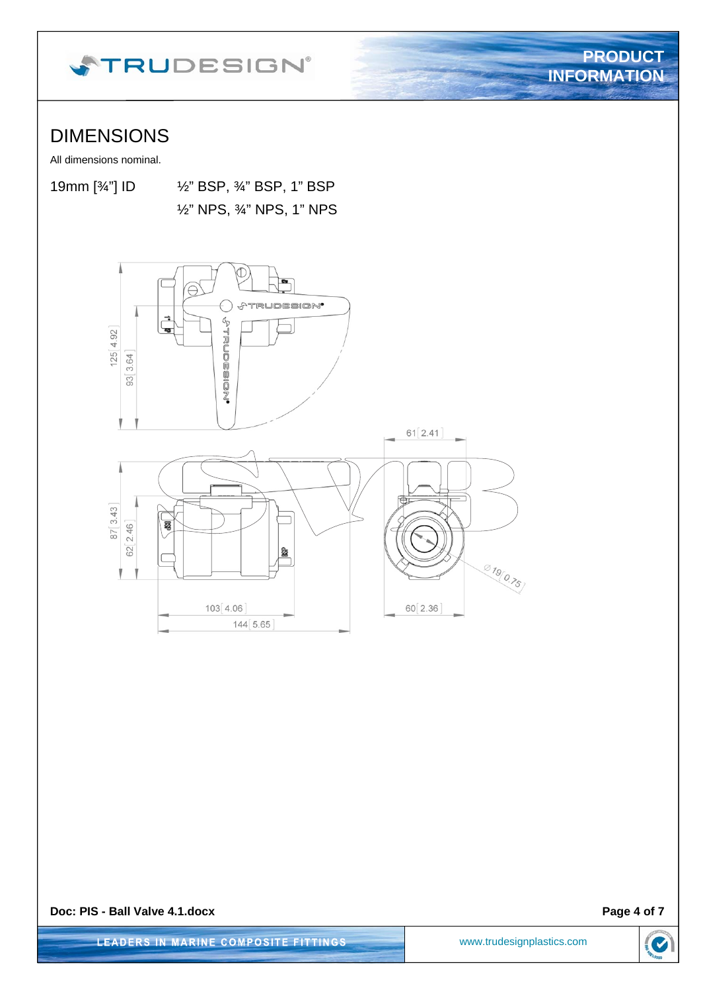

## DIMENSIONS

All dimensions nominal.

19mm [¾"] ID ½" BSP, ¾" BSP, 1" BSP

½" NPS, ¾" NPS, 1" NPS



**Doc: PIS - Ball Valve 4.1.docx Page 4 of 7 Page 4 of 7** 

**PRODUCT**

**INFORMATION**

**LEADERS IN MARINE COMPOSITE FITTINGS** 

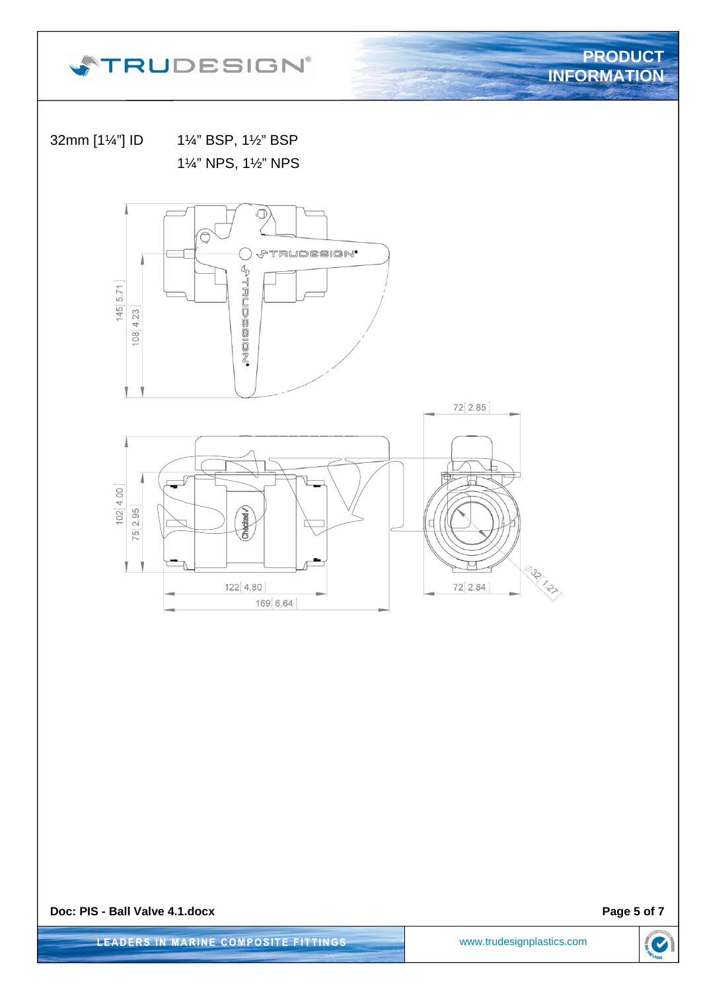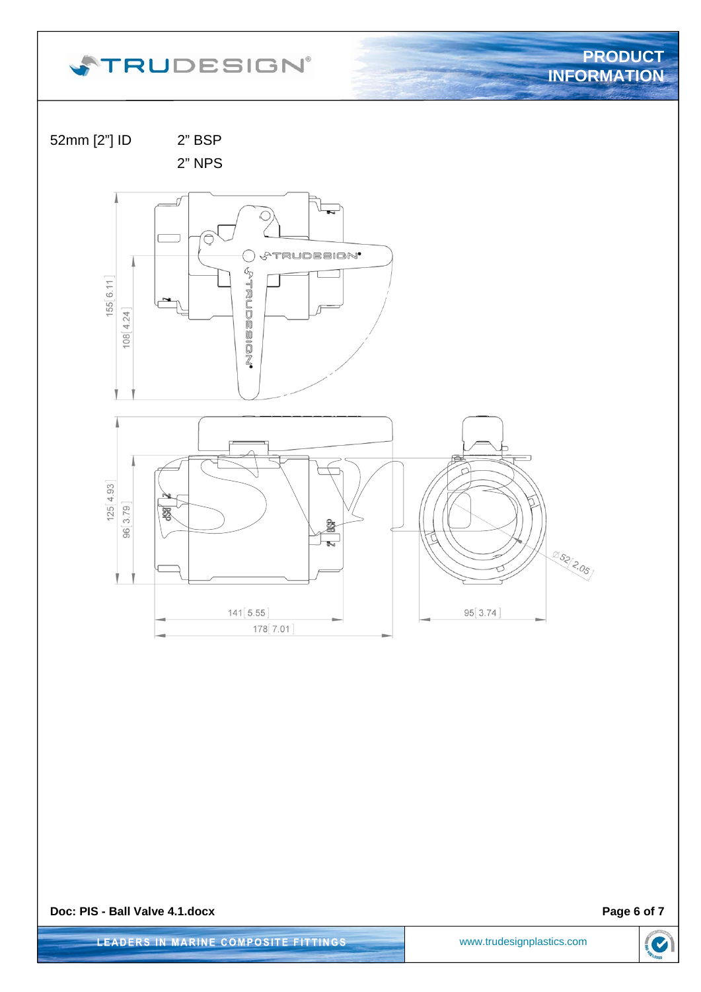